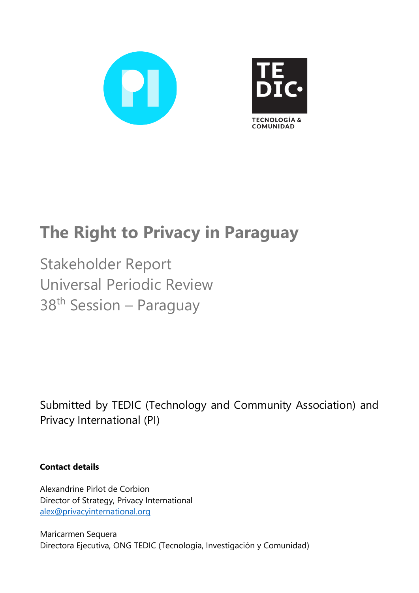

# **The Right to Privacy in Paraguay**

Stakeholder Report Universal Periodic Review 38<sup>th</sup> Session – Paraguay

Submitted by TEDIC (Technology and Community Association) and Privacy International (PI)

**Contact details**

Alexandrine Pirlot de Corbion Director of Strategy, Privacy International [alex@privacyinternational.org](mailto:alex@privacyinternational.org)

Maricarmen Sequera Directora Ejecutiva, ONG TEDIC (Tecnología, Investigación y Comunidad)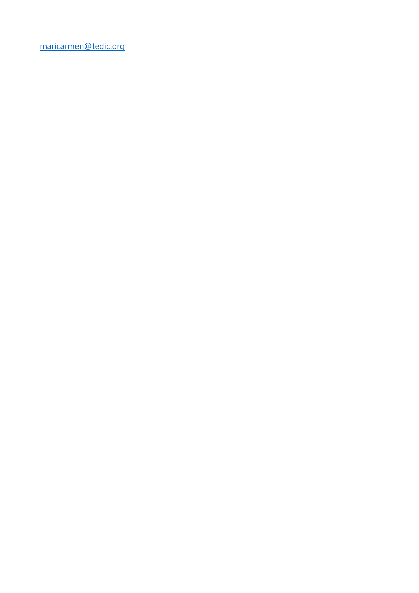[maricarmen@tedic.org](mailto:maricarmen@tedic.org)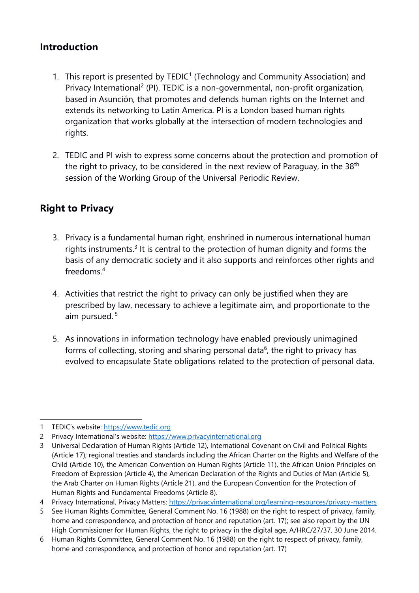# **Introduction**

- 1.  $\,$  This report is presented by TEDIC $^1$  (Technology and Community Association) and Privacy International<sup>2</sup> (PI). TEDIC is a non-governmental, non-profit organization, based in Asunción, that promotes and defends human rights on the Internet and extends its networking to Latin America. PI is <sup>a</sup> London based human rights organization that works globally at the intersection of modern technologies and rights.
- 2. TEDIC and PI wish to express some concerns about the protection and promotion of the right to privacy, to be considered in the next review of Paraguay, in the 38<sup>th</sup> session of the Working Group of the Universal Periodic Review.

# **Right to Privacy**

- 3. Privacy is <sup>a</sup> fundamental human right, enshrined in numerous international human rights instruments. $^3$  It is central to the protection of human dignity and forms the basis of any democratic society and it also supports and reinforces other rights and freedoms. 4
- 4. Activities that restrict the right to privacy can only be justified when they are prescribed by law, necessary to achieve <sup>a</sup> legitimate aim, and proportionate to the aim pursued. 5
- 5. As innovations in information technology have enabled previously unimagined forms of collecting, storing and sharing personal data<sup>6</sup>, the right to privacy has evolved to encapsulate State obligations related to the protection of personal data.

<sup>1</sup> TEDIC'<sup>s</sup> website: [https://www.tedic.org](https://www.tedic.org/)

<sup>2</sup> Privacy International'<sup>s</sup> website: [https://www.privacyinternational.org](https://www.privacyinternational.org/)

<sup>3</sup> Universal Declaration of Human Rights (Article 12), International Covenant on Civil and Political Rights (Article 17); regional treaties and standards including the African Charter on the Rights and Welfare of the Child (Article 10), the American Convention on Human Rights (Article 11), the African Union Principles on Freedom of Expression (Article 4), the American Declaration of the Rights and Duties of Man (Article 5), the Arab Charter on Human Rights (Article 21), and the European Convention for the Protection of Human Rights and Fundamental Freedoms (Article 8).

<sup>4</sup> Privacy International, Privacy Matters: <https://privacyinternational.org/learning-resources/privacy-matters>

<sup>5</sup> See Human Rights Committee, General Comment No. 16 (1988) on the right to respect of privacy, family, home and correspondence, and protection of honor and reputation (art. 17); see also report by the UN High Commissioner for Human Rights, the right to privacy in the digital age, A/HRC/27/37, 30 June 2014.

<sup>6</sup> Human Rights Committee, General Comment No. 16 (1988) on the right to respect of privacy, family, home and correspondence, and protection of honor and reputation (art. 17)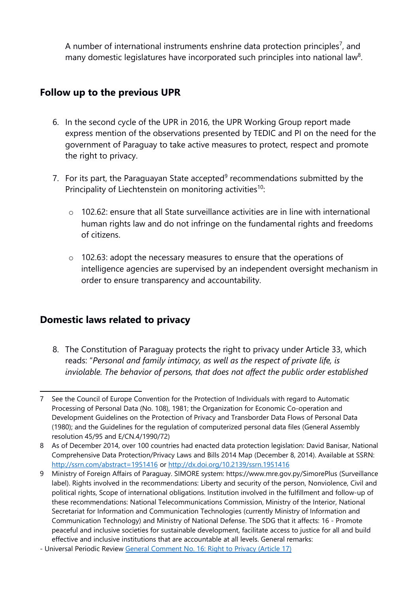A number of international instruments enshrine data protection principles<sup>7</sup>, and many domestic legislatures have incorporated such principles into national law $^8\!$ 

## **Follow up to the previous UPR**

- 6. In the second cycle of the UPR in 2016, the UPR Working Group report made express mention of the observations presented by TEDIC and PI on the need for the governmen<sup>t</sup> of Paraguay to take active measures to protect, respect and promote the right to privacy.
- 7. For its part, the Paraguayan State accepted<sup>9</sup> recommendations submitted by the Principality of Liechtenstein on monitoring activities<sup>10</sup>:
	- <sup>o</sup> 102.62: ensure that all State surveillance activities are in line with international human rights law and do not infringe on the fundamental rights and freedoms of citizens.
	- <sup>o</sup> 102.63: adopt the necessary measures to ensure that the operations of intelligence agencies are supervised by an independent oversight mechanism in order to ensure transparency and accountability.

# **Domestic laws related to privacy**

8. The Constitution of Paraguay protects the right to privacy under Article 33, which reads: "*Personal and family intimacy, as well as the respec<sup>t</sup> of private life, is inviolable. The behavior of persons, that does not affect the public order established*

<sup>7</sup> See the Council of Europe Convention for the Protection of Individuals with regard to Automatic Processing of Personal Data (No. 108), 1981; the Organization for Economic Co-operation and Development Guidelines on the Protection of Privacy and Transborder Data Flows of Personal Data (1980); and the Guidelines for the regulation of computerized personal data files (General Assembly resolution 45/95 and E/CN.4/1990/72)

<sup>8</sup> As of December 2014, over 100 countries had enacted data protection legislation: David Banisar, National Comprehensive Data Protection/Privacy Laws and Bills 2014 Map (December 8, 2014). Available at SSRN: <http://ssrn.com/abstract=1951416> or <http://dx.doi.org/10.2139/ssrn.1951416>

<sup>9</sup> Ministry of Foreign Affairs of Paraguay. SIMORE system: <https://www.mre.gov.py/SimorePlus> (Surveillance label). Rights involved in the recommendations: Liberty and security of the person, Nonviolence, Civil and political rights, Scope of international obligations. Institution involved in the fulfillment and follow-up of these recommendations: National Telecommunications Commission, Ministry of the Interior, National Secretariat for Information and Communication Technologies (currently Ministry of Information and Communication Technology) and Ministry of National Defense. The SDG that it affects: 16 - Promote peaceful and inclusive societies for sustainable development, facilitate access to justice for all and build effective and inclusive institutions that are accountable at all levels. General remarks:

<sup>-</sup> Universal Periodic Review General [Comment](https://www.refworld.org/docid/453883f922.html) No. 16: Right to Privacy (Article 17)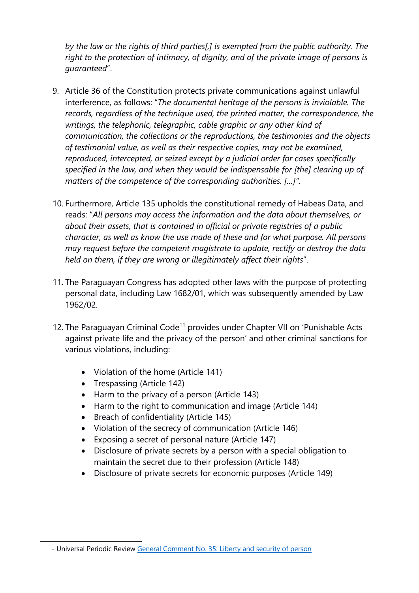*by the law or the rights of third parties[,] is exempted from the public authority. The right to the protection of intimacy, of dignity, and of the private image of persons is guaranteed*".

- 9. Article 36 of the Constitution protects private communications against unlawful interference, as follows: "*The documental heritage of the persons is inviolable. The records, regardless of the technique used, the printed matter, the correspondence, the writings, the telephonic, telegraphic, cable graphic or any other kind of communication, the collections or the reproductions, the testimonies and the objects of testimonial value, as well as their respective copies, may not be examined, reproduced, intercepted, or seized excep<sup>t</sup> by <sup>a</sup> judicial order for cases specifically specified in the law, and when they would be indispensable for [the] clearing up of matters of the competence of the corresponding authorities. […]".*
- 10. Furthermore, Article 135 upholds the constitutional remedy of Habeas Data, and reads: "*All persons may access the information and the data about themselves, or about their assets, that is contained in official or private registries of <sup>a</sup> public character, as well as know the use made of these and for what purpose. All persons may reques<sup>t</sup> before the competent magistrate to update, rectify or destroy the data held on them, if they are wrong or illegitimately affect their rights*".
- 11. The Paraguayan Congress has adopted other laws with the purpose of protecting personal data, including Law 1682/01, which was subsequently amended by Law 1962/02.
- 12. The Paraguayan Criminal Code<sup>11</sup> provides under Chapter VII on 'Punishable Acts against private life and the privacy of the person' and other criminal sanctions for various violations, including:
	- Violation of the home (Article 141)
	- Trespassing (Article 142)
	- Harm to the privacy of a person (Article 143)
	- Harm to the right to communication and image (Article 144)
	- Breach of confidentiality (Article 145)
	- Violation of the secrecy of communication (Article 146)
	- Exposing <sup>a</sup> secret of personal nature (Article 147)
	- Disclosure of private secrets by <sup>a</sup> person with <sup>a</sup> special obligation to maintain the secret due to their profession (Article 148)
	- Disclosure of private secrets for economic purposes (Article 149)

<sup>-</sup> Universal Periodic Review General Comment No. 35: Liberty and [security](https://undocs.org/CCPR/C/GC/35) of person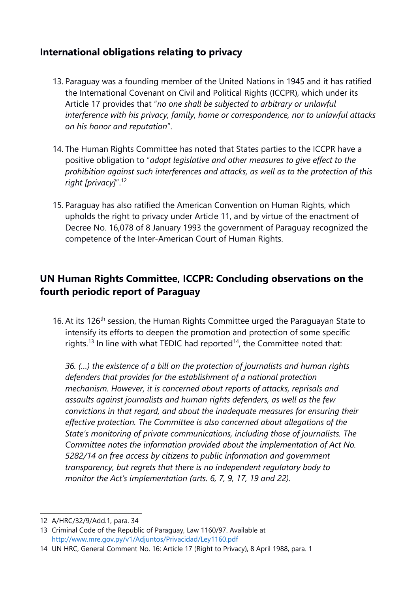# **International obligations relating to privacy**

- 13. Paraguay was <sup>a</sup> founding member of the United Nations in 1945 and it has ratified the International Covenant on Civil and Political Rights (ICCPR), which under its Article 17 provides that "*no one shall be subjected to arbitrary or unlawful interference with his privacy, family, home or correspondence, nor to unlawful attacks on his honor and reputation*".
- 14. The Human Rights Committee has noted that States parties to the ICCPR have <sup>a</sup> positive obligation to "*adopt legislative and other measures to give effect to the prohibition against such interferences and attacks, as well as to the protection of this right [privacy]*". 12
- 15. Paraguay has also ratified the American Convention on Human Rights, which upholds the right to privacy under Article 11, and by virtue of the enactment of Decree No. 16,078 of 8 January 1993 the governmen<sup>t</sup> of Paraguay recognized the competence of the Inter-American Court of Human Rights.

# **UN Human Rights Committee, ICCPR: Concluding observations on the fourth periodic report of Paraguay**

16. At its 126<sup>th</sup> session, the Human Rights Committee urged the Paraguayan State to intensify its efforts to deepen the promotion and protection of some specific rights.<sup>13</sup> In line with what TEDIC had reported<sup>14</sup>, the Committee noted that:

*36. (…) the existence of <sup>a</sup> bill on the protection of journalists and human rights defenders that provides for the establishment of <sup>a</sup> national protection mechanism. However, it is concerned about reports of attacks, reprisals and assaults against journalists and human rights defenders, as well as the few convictions in that regard, and about the inadequate measures for ensuring their effective protection. The Committee is also concerned about allegations of the State'<sup>s</sup> monitoring of private communications, including those of journalists. The Committee notes the information provided about the implementation of Act No. 5282/14 on free access by citizens to public information and governmen<sup>t</sup> transparency, but regrets that there is no independent regulatory body to monitor the Act'<sup>s</sup> implementation (arts. 6, 7, 9, 17, 19 and 22).*

<sup>12</sup> A/HRC/32/9/Add.1, para. 34

<sup>13</sup> Criminal Code of the Republic of Paraguay, Law 1160/97. Available at <http://www.mre.gov.py/v1/Adjuntos/Privacidad/Ley1160.pdf>

<sup>14</sup> UN HRC, General Comment No. 16: Article 17 (Right to Privacy), 8 April 1988, para. 1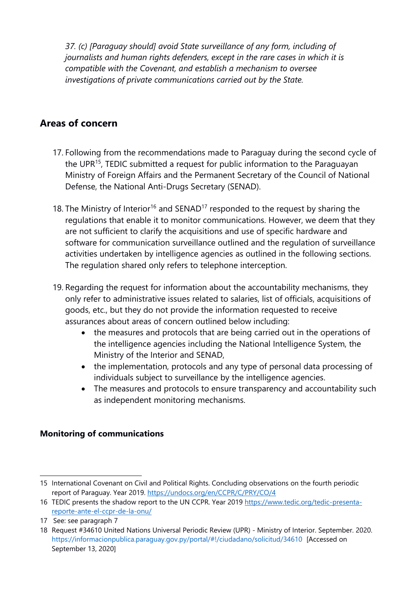*37. (c) [Paraguay should] avoid State surveillance of any form, including of journalists and human rights defenders, excep<sup>t</sup> in the rare cases in which it is compatible with the Covenant, and establish <sup>a</sup> mechanism to oversee investigations of private communications carried out by the State.*

# **Areas of concern**

- 17. Following from the recommendations made to Paraguay during the second cycle of the UPR<sup>15</sup>, TEDIC submitted a request for public information to the Paraguayan Ministry of Foreign Affairs and the Permanent Secretary of the Council of National Defense, the National Anti-Drugs Secretary (SENAD).
- 18. The Ministry of Interior $^{16}$  and SENAD $^{17}$  responded to the request by sharing the regulations that enable it to monitor communications. However, we deem that they are not sufficient to clarify the acquisitions and use of specific hardware and software for communication surveillance outlined and the regulation of surveillance activities undertaken by intelligence agencies as outlined in the following sections. The regulation shared only refers to telephone interception.
- 19. Regarding the request for information about the accountability mechanisms, they only refer to administrative issues related to salaries, list of officials, acquisitions of goods, etc., but they do not provide the information requested to receive assurances about areas of concern outlined below including:
	- $\bullet$  the measures and protocols that are being carried out in the operations of the intelligence agencies including the National Intelligence System, the Ministry of the Interior and SENAD,
	- the implementation, protocols and any type of personal data processing of individuals subject to surveillance by the intelligence agencies.
	- The measures and protocols to ensure transparency and accountability such as independent monitoring mechanisms.

#### **Monitoring of communications**

<sup>15</sup> International Covenant on Civil and Political Rights. Concluding observations on the fourth periodic report of Paraguay. Year 2019. <https://undocs.org/en/CCPR/C/PRY/CO/4>

<sup>16</sup> TEDIC presents the shadow report to the UN CCPR. Year 2019 [https://www.tedic.org/tedic-presenta](https://www.tedic.org/tedic-presenta-reporte-ante-el-ccpr-de-la-onu/)[reporte-ante-el-ccpr-de-la-onu/](https://www.tedic.org/tedic-presenta-reporte-ante-el-ccpr-de-la-onu/)

<sup>17</sup> See: see paragraph 7

<sup>18</sup> Request #34610 United Nations Universal Periodic Review (UPR) - Ministry of Interior. September. 2020. <https://informacionpublica.paraguay.gov.py/portal/#!/ciudadano/solicitud/34610> [Accessed on September 13, 2020]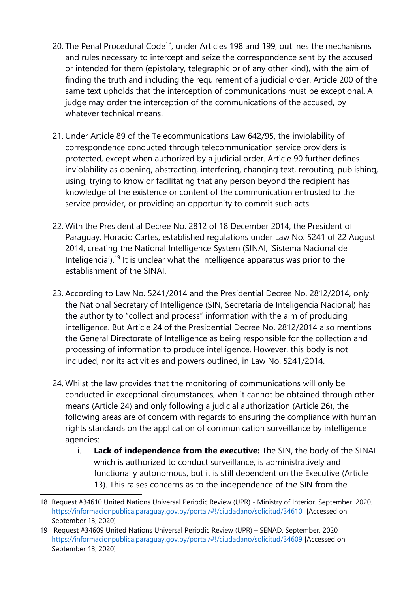- 20. The Penal Procedural Code<sup>18</sup>, under Articles 198 and 199, outlines the mechanisms and rules necessary to intercept and seize the correspondence sent by the accused or intended for them (epistolary, telegraphic or of any other kind), with the aim of finding the truth and including the requirement of <sup>a</sup> judicial order. Article 200 of the same text upholds that the interception of communications must be exceptional. A judge may order the interception of the communications of the accused, by whatever technical means.
- 21. Under Article 89 of the Telecommunications Law 642/95, the inviolability of correspondence conducted through telecommunication service providers is protected, except when authorized by <sup>a</sup> judicial order. Article 90 further defines inviolability as opening, abstracting, interfering, changing text, rerouting, publishing, using, trying to know or facilitating that any person beyond the recipient has knowledge of the existence or content of the communication entrusted to the service provider, or providing an opportunity to commit such acts.
- 22. With the Presidential Decree No. 2812 of 18 December 2014, the President of Paraguay, Horacio Cartes, established regulations under Law No. 5241 of 22 August 2014, creating the National Intelligence System (SINAI, 'Sistema Nacional de Inteligencia').<sup>19</sup> It is unclear what the intelligence apparatus was prior to the establishment of the SINAI.
- 23. According to Law No. 5241/2014 and the Presidential Decree No. 2812/2014, only the National Secretary of Intelligence (SIN, Secretaría de Inteligencia Nacional) has the authority to "collect and process" information with the aim of producing intelligence. But Article 24 of the Presidential Decree No. 2812/2014 also mentions the General Directorate of Intelligence as being responsible for the collection and processing of information to produce intelligence. However, this body is not included, nor its activities and powers outlined, in Law No. 5241/2014.
- 24. Whilst the law provides that the monitoring of communications will only be conducted in exceptional circumstances, when it cannot be obtained through other means (Article 24) and only following <sup>a</sup> judicial authorization (Article 26), the following areas are of concern with regards to ensuring the compliance with human rights standards on the application of communication surveillance by intelligence agencies:
	- i. **Lack of independence from the executive:** The SIN, the body of the SINAI which is authorized to conduct surveillance, is administratively and functionally autonomous, but it is still dependent on the Executive (Article 13). This raises concerns as to the independence of the SIN from the

<sup>18</sup> Request #34610 United Nations Universal Periodic Review (UPR) - Ministry of Interior. September. 2020. <https://informacionpublica.paraguay.gov.py/portal/#!/ciudadano/solicitud/34610> [Accessed on September 13, 2020]

<sup>19</sup> Request #34609 United Nations Universal Periodic Review (UPR) – SENAD. September. 2020 <https://informacionpublica.paraguay.gov.py/portal/#!/ciudadano/solicitud/34609> [Accessed on September 13, 2020]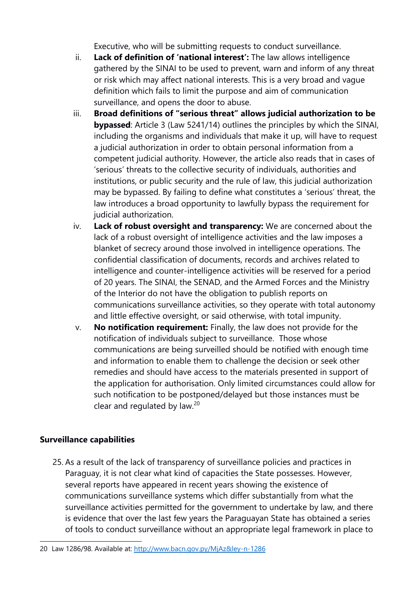Executive, who will be submitting requests to conduct surveillance.

- ii. **Lack of definition of 'national interest':** The law allows intelligence gathered by the SINAI to be used to prevent, warn and inform of any threat or risk which may affect national interests. This is <sup>a</sup> very broad and vague definition which fails to limit the purpose and aim of communication surveillance, and opens the door to abuse.
- iii. **Broad definitions of "serious threat" allows judicial authorization to be bypassed**: Article 3 (Law 5241/14) outlines the principles by which the SINAI, including the organisms and individuals that make it up, will have to request <sup>a</sup> judicial authorization in order to obtain personal information from <sup>a</sup> competent judicial authority. However, the article also reads that in cases of 'serious' threats to the collective security of individuals, authorities and institutions, or public security and the rule of law, this judicial authorization may be bypassed. By failing to define what constitutes <sup>a</sup> 'serious' threat, the law introduces <sup>a</sup> broad opportunity to lawfully bypass the requirement for judicial authorization.
- iv. **Lack of robust oversight and transparency:** We are concerned about the lack of <sup>a</sup> robust oversight of intelligence activities and the law imposes <sup>a</sup> blanket of secrecy around those involved in intelligence operations. The confidential classification of documents, records and archives related to intelligence and counter-intelligence activities will be reserved for <sup>a</sup> period of 20 years. The SINAI, the SENAD, and the Armed Forces and the Ministry of the Interior do not have the obligation to publish reports on communications surveillance activities, so they operate with total autonomy and little effective oversight, or said otherwise, with total impunity.
- v. **No notification requirement:** Finally, the law does not provide for the notification of individuals subject to surveillance. Those whose communications are being surveilled should be notified with enough time and information to enable them to challenge the decision or seek other remedies and should have access to the materials presented in support of the application for authorisation. Only limited circumstances could allow for such notification to be postponed/delayed but those instances must be clear and regulated by law.<sup>20</sup>

#### **Surveillance capabilities**

25. As <sup>a</sup> result of the lack of transparency of surveillance policies and practices in Paraguay, it is not clear what kind of capacities the State possesses. However, several reports have appeared in recent years showing the existence of communications surveillance systems which differ substantially from what the surveillance activities permitted for the governmen<sup>t</sup> to undertake by law, and there is evidence that over the last few years the Paraguayan State has obtained <sup>a</sup> series of tools to conduct surveillance without an appropriate legal framework in place to

<sup>20</sup> Law 1286/98. Available at: <http://www.bacn.gov.py/MjAz&ley-n-1286>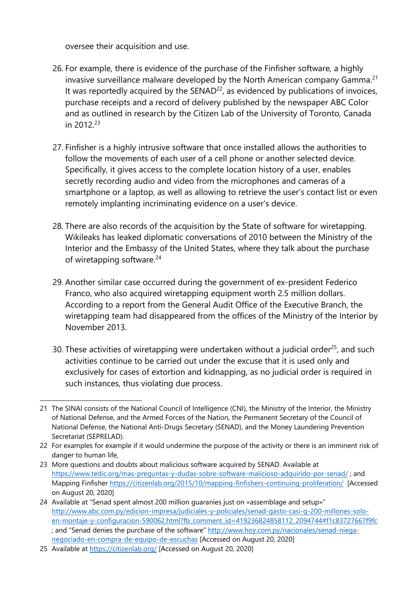oversee their acquisition and use.

- 26. For example, there is evidence of the purchase of the Finfisher software, <sup>a</sup> highly invasive surveillance malware developed by the North American company Gamma. $^{27}$ It was reportedly acquired by the  $SENAD<sup>22</sup>$ , as evidenced by publications of invoices, purchase receipts and <sup>a</sup> record of delivery published by the newspaper ABC Color and as outlined in research by the Citizen Lab of the University of Toronto, Canada in 2012.<sup>23</sup>
- 27. Finfisher is <sup>a</sup> highly intrusive software that once installed allows the authorities to follow the movements of each user of <sup>a</sup> cell phone or another selected device. Specifically, it gives access to the complete location history of <sup>a</sup> user, enables secretly recording audio and video from the microphones and cameras of <sup>a</sup> smartphone or <sup>a</sup> laptop, as well as allowing to retrieve the user'<sup>s</sup> contact list or even remotely implanting incriminating evidence on <sup>a</sup> user's device.
- 28. There are also records of the acquisition by the State of software for wiretapping. Wikileaks has leaked diplomatic conversations of 2010 between the Ministry of the Interior and the Embassy of the United States, where they talk about the purchase of wiretapping software.<sup>24</sup>
- 29. Another similar case occurred during the governmen<sup>t</sup> of ex-president Federico Franco, who also acquired wiretapping equipment worth 2.5 million dollars. According to <sup>a</sup> report from the General Audit Office of the Executive Branch, the wiretapping team had disappeared from the offices of the Ministry of the Interior by November 2013.
- 30. These activities of wiretapping were undertaken without a judicial order<sup>25</sup>, and such activities continue to be carried out under the excuse that it is used only and exclusively for cases of extortion and kidnapping, as no judicial order is required in such instances, thus violating due process.

<sup>21</sup> The SINAI consists of the National Council of Intelligence (CNI), the Ministry of the Interior, the Ministry of National Defense, and the Armed Forces of the Nation, the Permanent Secretary of the Council of National Defense, the National Anti-Drugs Secretary (SENAD), and the Money Laundering Prevention Secretariat (SEPRELAD).

<sup>22</sup> For examples for example if it would undermine the purpose of the activity or there is an imminent risk of danger to human life,

<sup>23</sup> More questions and doubts about malicious software acquired by SENAD. Available at <https://www.tedic.org/mas-preguntas-y-dudas-sobre-software-malicioso-adquirido-por-senad/> ; and Mapping Finfisher <https://citizenlab.org/2015/10/mapping-finfishers-continuing-proliferation/> [Accessed on August 20, 2020]

<sup>24</sup> Available at "Senad spent almost 200 million guaraníes just on «assemblage and setup»" [http://www.abc.com.py/edicion-impresa/judiciales-y-policiales/senad-gasto-casi-g-200-millones-solo](http://www.abc.com.py/edicion-impresa/judiciales-y-policiales/senad-gasto-casi-g-200-millones-solo-en-montaje-y-configuracion-590062.html?fb_comment_id=419236824858112_2094744#f1c83727667f9fc)[en-montaje-y-configuracion-590062.html?fb\\_comment\\_id=419236824858112\\_2094744#f1c83727667f9fc](http://www.abc.com.py/edicion-impresa/judiciales-y-policiales/senad-gasto-casi-g-200-millones-solo-en-montaje-y-configuracion-590062.html?fb_comment_id=419236824858112_2094744#f1c83727667f9fc) ; and "Senad denies the purchase of the software" [http://www.hoy.com.py/nacionales/senad-niega](http://www.hoy.com.py/nacionales/senad-niega-negociado-en-compra-de-equipo-de-escuchas)negoc[iado-en-compra-de-equipo-de-escuchas](http://www.hoy.com.py/nacionales/senad-niega-negociado-en-compra-de-equipo-de-escuchas) [Accessed on August 20, 2020]

<sup>25</sup> Available at <https://citizenlab.org/> [Accessed on August 20, 2020]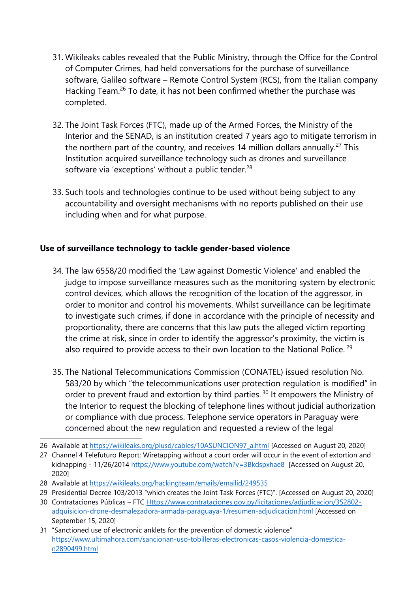- 31. Wikileaks cables revealed that the Public Ministry, through the Office for the Control of Computer Crimes, had held conversations for the purchase of surveillance software, Galileo software – Remote Control System (RCS), from the Italian company Hacking Team.<sup>26</sup> To date, it has not been confirmed whether the purchase was completed.
- 32. The Joint Task Forces (FTC), made up of the Armed Forces, the Ministry of the Interior and the SENAD, is an institution created 7 years ago to mitigate terrorism in the northern part of the country, and receives 14 million dollars annually.<sup>27</sup> This Institution acquired surveillance technology such as drones and surveillance software via 'exceptions' without a public tender. $^{28}$
- 33. Such tools and technologies continue to be used without being subject to any accountability and oversight mechanisms with no reports published on their use including when and for what purpose.

#### **Use of surveillance technology to tackle gender-based violence**

- 34. The law 6558/20 modified the 'Law against Domestic Violence' and enabled the judge to impose surveillance measures such as the monitoring system by electronic control devices, which allows the recognition of the location of the aggressor, in order to monitor and control his movements. Whilst surveillance can be legitimate to investigate such crimes, if done in accordance with the principle of necessity and proportionality, there are concerns that this law puts the alleged victim reporting the crime at risk, since in order to identify the aggressor's proximity, the victim is also required to provide access to their own location to the National Police.  $^{29}$
- 35. The National Telecommunications Commission (CONATEL) issued resolution No. 583/20 by which "the telecommunications user protection regulation is modified" in order to prevent fraud and extortion by third parties. <sup>30</sup> It empowers the Ministry of the Interior to request the blocking of telephone lines without judicial authorization or compliance with due process. Telephone service operators in Paraguay were concerned about the new regulation and requested <sup>a</sup> review of the legal

<sup>26</sup> Available at [https://wikileaks.org/plusd/cables/10ASUNCION97\\_a.html](https://wikileaks.org/plusd/cables/10ASUNCION97_a.html) [Accessed on August 20, 2020]

<sup>27</sup> Channel 4 Telefuturo Report: Wiretapping without <sup>a</sup> court order will occur in the event of extortion and kidnapping - 11/26/2014 <https://www.youtube.com/watch?v=3Bkdspxhae8> [Accessed on August 20, 2020]

<sup>28</sup> Available at <https://wikileaks.org/hackingteam/emails/emailid/249535>

<sup>29</sup> Presidential Decree 103/2013 "which creates the Joint Task Forces (FTC)". [Accessed on August 20, 2020]

<sup>30</sup> Contrataciones Públicas – FTC [Https://www.contrataciones.gov.py/licitaciones/adjudicacion/352802](https://www.contrataciones.gov.py/licitaciones/adjudicacion/352802-adquisicion-drone-desmalezadora-armada-paraguaya-1/resumen-adjudicacion.html) [adquisicion-drone-desmalezadora-armada-paraguaya-1/resumen-adjudicacion.html](https://www.contrataciones.gov.py/licitaciones/adjudicacion/352802-adquisicion-drone-desmalezadora-armada-paraguaya-1/resumen-adjudicacion.html) [Accessed on September 15, 2020]

<sup>31</sup> "Sanctioned use of electronic anklets for the prevention of domestic violence" [https://www.ultimahora.com/sancionan-uso-tobilleras-electronicas-casos-violencia-domestica](https://www.ultimahora.com/sancionan-uso-tobilleras-electronicas-casos-violencia-domestica-n2890499.html)[n2890499.html](https://www.ultimahora.com/sancionan-uso-tobilleras-electronicas-casos-violencia-domestica-n2890499.html)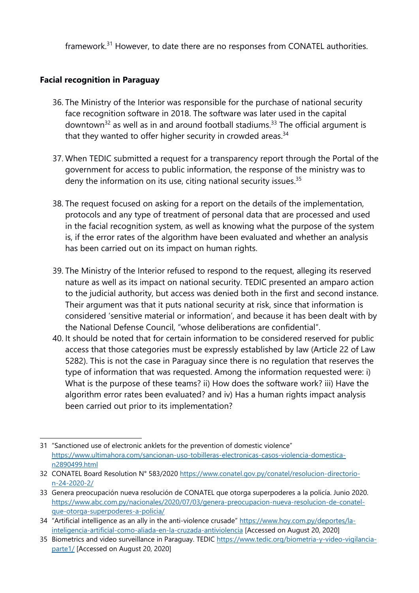framework.<sup>31</sup> However, to date there are no responses from CONATEL authorities.

#### **Facial recognition in Paraguay**

- 36. The Ministry of the Interior was responsible for the purchase of national security face recognition software in 2018. The software was later used in the capital downtown<sup>32</sup> as well as in and around football stadiums.<sup>33</sup> The official argument is that they wanted to offer higher security in crowded areas.<sup>34</sup>
- 37. When TEDIC submitted <sup>a</sup> request for <sup>a</sup> transparency report through the Portal of the governmen<sup>t</sup> for access to public information, the response of the ministry was to deny the information on its use, citing national security issues.<sup>35</sup>
- 38. The request focused on asking for <sup>a</sup> report on the details of the implementation, protocols and any type of treatment of personal data that are processed and used in the facial recognition system, as well as knowing what the purpose of the system is, if the error rates of the algorithm have been evaluated and whether an analysis has been carried out on its impact on human rights.
- 39. The Ministry of the Interior refused to respond to the request, alleging its reserved nature as well as its impact on national security. TEDIC presented an amparo action to the judicial authority, but access was denied both in the first and second instance. Their argumen<sup>t</sup> was that it puts national security at risk, since that information is considered 'sensitive material or information', and because it has been dealt with by the National Defense Council, "whose deliberations are confidential".
- 40. It should be noted that for certain information to be considered reserved for public access that those categories must be expressly established by law (Article 22 of Law 5282). This is not the case in Paraguay since there is no regulation that reserves the type of information that was requested. Among the information requested were: i) What is the purpose of these teams? ii) How does the software work? iii) Have the algorithm error rates been evaluated? and iv) Has <sup>a</sup> human rights impact analysis been carried out prior to its implementation?

<sup>31</sup> "Sanctioned use of electronic anklets for the prevention of domestic violence" [https://www.ultimahora.com/sancionan-uso-tobilleras-electronicas-casos-violencia-domestica](https://www.ultimahora.com/sancionan-uso-tobilleras-electronicas-casos-violencia-domestica-n2890499.html)[n2890499.html](https://www.ultimahora.com/sancionan-uso-tobilleras-electronicas-casos-violencia-domestica-n2890499.html)

<sup>32</sup> CONATEL Board Resolution N° 583/2020 [https://www.conatel.gov.py/conatel/resolucion-directorio](https://www.conatel.gov.py/conatel/resolucion-directorio-n-24-2020-2/)[n-24-2020-2/](https://www.conatel.gov.py/conatel/resolucion-directorio-n-24-2020-2/)

<sup>33</sup> Genera preocupación nueva resolución de CONATEL que otorga superpoderes <sup>a</sup> la policía. Junio 2020. [https://www.abc.com.py/nacionales/2020/07/03/genera-preocupacion-nueva-resolucion-de-conatel](https://www.abc.com.py/nacionales/2020/07/03/genera-preocupacion-nueva-resolucion-de-conatel-que-otorga-superpoderes-a-policia/)[que-otorga-superpoderes-a-policia/](https://www.abc.com.py/nacionales/2020/07/03/genera-preocupacion-nueva-resolucion-de-conatel-que-otorga-superpoderes-a-policia/)

<sup>34</sup> "Artificial intelligence as an ally in the anti-violence crusade" [https://www.hoy.com.py/deportes/la](https://www.hoy.com.py/deportes/la-inteligencia-artificial-como-aliada-en-la-cruzada-antiviolencia)[inteligencia-artificial-como-aliada-en-la-cruzada-antiviolencia](https://www.hoy.com.py/deportes/la-inteligencia-artificial-como-aliada-en-la-cruzada-antiviolencia) [Accessed on August 20, 2020]

<sup>35</sup> Biometrics and video surveillance in Paraguay. TEDIC [https://www.tedic.org/biometria-y-video-vigilancia](https://www.tedic.org/biometria-y-video-vigilancia-parte1/)[parte1/](https://www.tedic.org/biometria-y-video-vigilancia-parte1/) [Accessed on August 20, 2020]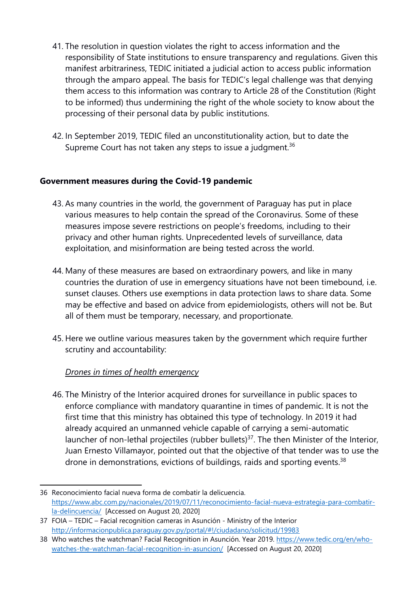- 41. The resolution in question violates the right to access information and the responsibility of State institutions to ensure transparency and regulations. Given this manifest arbitrariness, TEDIC initiated <sup>a</sup> judicial action to access public information through the amparo appeal. The basis for TEDIC'<sup>s</sup> legal challenge was that denying them access to this information was contrary to Article 28 of the Constitution (Right to be informed) thus undermining the right of the whole society to know about the processing of their personal data by public institutions.
- 42. In September 2019, TEDIC filed an unconstitutionality action, but to date the Supreme Court has not taken any steps to issue a judgment. $^{36}$

#### **Government measures during the Covid-19 pandemic**

- 43. As many countries in the world, the governmen<sup>t</sup> of Paraguay has put in place various measures to help contain the spread of the Coronavirus. Some of these measures impose severe restrictions on people'<sup>s</sup> freedoms, including to their privacy and other human rights. Unprecedented levels of surveillance, data exploitation, and misinformation are being tested across the world.
- 44. Many of these measures are based on extraordinary powers, and like in many countries the duration of use in emergency situations have not been timebound, i.e. sunset clauses. Others use exemptions in data protection laws to share data. Some may be effective and based on advice from epidemiologists, others will not be. But all of them must be temporary, necessary, and proportionate.
- 45. Here we outline various measures taken by the governmen<sup>t</sup> which require further scrutiny and accountability:

#### *Drones in times of health emergency*

46. The Ministry of the Interior acquired drones for surveillance in public spaces to enforce compliance with mandatory quarantine in times of pandemic. It is not the first time that this ministry has obtained this type of technology. In 2019 it had already acquired an unmanned vehicle capable of carrying <sup>a</sup> semi-automatic launcher of non-lethal projectiles (rubber bullets)<sup>37</sup>. The then Minister of the Interior, Juan Ernesto Villamayor, pointed out that the objective of that tender was to use the drone in demonstrations, evictions of buildings, raids and sporting events.<sup>38</sup>

<sup>36</sup> Reconocimiento facial nueva forma de combatir la delicuencia. [https://www.abc.com.py/nacionales/2019/07/11/reconocimiento-facial-nueva-estrategia-para-combatir](https://www.abc.com.py/nacionales/2019/07/11/reconocimiento-facial-nueva-estrategia-para-combatir-la-delincuencia/)[la-delincuencia/](https://www.abc.com.py/nacionales/2019/07/11/reconocimiento-facial-nueva-estrategia-para-combatir-la-delincuencia/) [Accessed on August 20, 2020]

<sup>37</sup> FOIA – TEDIC – Facial recognition cameras in Asunción - Ministry of the Interior <http://informacionpublica.paraguay.gov.py/portal/#!/ciudadano/solicitud/19983>

<sup>38</sup> Who watches the watchman? Facial Recognition in Asunción. Year 2019. [https://www.tedic.org/en/who](https://www.tedic.org/en/who-watches-the-watchman-facial-recognition-in-asuncion/)[watches-the-watchman-facial-recognition-in-asuncion/](https://www.tedic.org/en/who-watches-the-watchman-facial-recognition-in-asuncion/) [Accessed on August 20, 2020]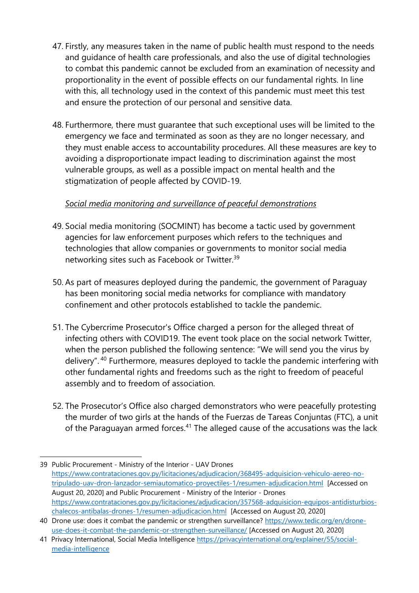- 47. Firstly, any measures taken in the name of public health must respond to the needs and guidance of health care professionals, and also the use of digital technologies to combat this pandemic cannot be excluded from an examination of necessity and proportionality in the event of possible effects on our fundamental rights. In line with this, all technology used in the context of this pandemic must meet this test and ensure the protection of our personal and sensitive data.
- 48. Furthermore, there must guarantee that such exceptional uses will be limited to the emergency we face and terminated as soon as they are no longer necessary, and they must enable access to accountability procedures. All these measures are key to avoiding <sup>a</sup> disproportionate impact leading to discrimination against the most vulnerable groups, as well as <sup>a</sup> possible impact on mental health and the stigmatization of people affected by COVID-19.

#### *Social media monitoring and surveillance of peaceful demonstrations*

- 49. Social media monitoring (SOCMINT) has become <sup>a</sup> tactic used by governmen<sup>t</sup> agencies for law enforcement purposes which refers to the techniques and technologies that allow companies or governments to monitor social media networking sites such as Facebook or Twitter. 39
- 50. As part of measures deployed during the pandemic, the governmen<sup>t</sup> of Paraguay has been monitoring social media networks for compliance with mandatory confinement and other protocols established to tackle the pandemic.
- 51. The Cybercrime Prosecutor's Office charged <sup>a</sup> person for the alleged threat of infecting others with COVID19. The event took place on the social network Twitter, when the person published the following sentence: "We will send you the virus by delivery". <sup>40</sup> Furthermore, measures deployed to tackle the pandemic interfering with other fundamental rights and freedoms such as the right to freedom of peaceful assembly and to freedom of association.
- 52. The Prosecutor'<sup>s</sup> Office also charged demonstrators who were peacefully protesting the murder of two girls at the hands of the Fuerzas de Tareas Conjuntas (FTC), <sup>a</sup> unit of the Paraguayan armed forces.<sup>41</sup> The alleged cause of the accusations was the lack

<sup>39</sup> Public Procurement - Ministry of the Interior - UAV Drones [https://www.contrataciones.gov.py/licitaciones/adjudicacion/368495-adquisicion-vehiculo-aereo-no](https://www.contrataciones.gov.py/licitaciones/adjudicacion/368495-adquisicion-vehiculo-aereo-no-tripulado-uav-dron-lanzador-semiautomatico-proyectiles-1/resumen-adjudicacion.html)[tripulado-uav-dron-lanzador-semiautomatico-proyectiles-1/resumen-adjudicacion.html](https://www.contrataciones.gov.py/licitaciones/adjudicacion/368495-adquisicion-vehiculo-aereo-no-tripulado-uav-dron-lanzador-semiautomatico-proyectiles-1/resumen-adjudicacion.html) [Accessed on August 20, 2020] and Public Procurement - Ministry of the Interior - Drones [https://www.contrataciones.gov.py/licitaciones/adjudicacion/357568-adquisicion-equipos-antidisturbios](https://www.contrataciones.gov.py/licitaciones/adjudicacion/357568-adquisicion-equipos-antidisturbios-chalecos-antibalas-drones-1/resumen-adjudicacion.html)[chalecos-antibalas-drones-1/resumen-adjudicacion.html](https://www.contrataciones.gov.py/licitaciones/adjudicacion/357568-adquisicion-equipos-antidisturbios-chalecos-antibalas-drones-1/resumen-adjudicacion.html) [Accessed on August 20, 2020]

<sup>40</sup> Drone use: does it combat the pandemic or strengthen surveillance? [https://www.tedic.org/en/drone](https://www.tedic.org/en/drone-use-does-it-combat-the-pandemic-or-strengthen-surveillance/)[use-does-it-combat-the-pandemic-or-strengthen-surveillance/](https://www.tedic.org/en/drone-use-does-it-combat-the-pandemic-or-strengthen-surveillance/) [Accessed on August 20, 2020]

<sup>41</sup> Privacy International, Social Media Intelligence [https://privacyinternational.org/explainer/55/social](https://privacyinternational.org/explainer/55/social-media-intelligence)[media-intelligence](https://privacyinternational.org/explainer/55/social-media-intelligence)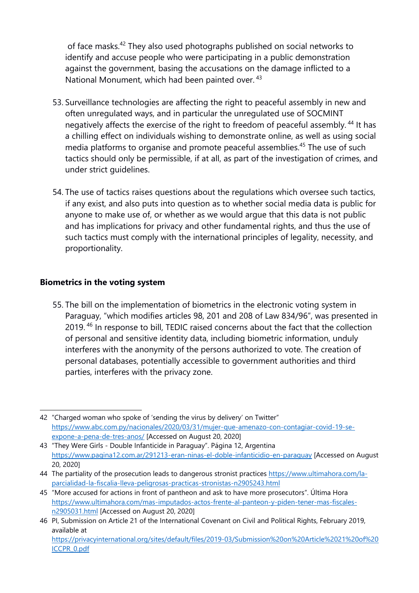of face masks.<sup>42</sup> They also used photographs published on social networks to identify and accuse people who were participating in <sup>a</sup> public demonstration against the government, basing the accusations on the damage inflicted to <sup>a</sup> National Monument, which had been painted over. <sup>43</sup>

- 53. Surveillance technologies are affecting the right to peaceful assembly in new and often unregulated ways, and in particular the unregulated use of SOCMINT negatively affects the exercise of the right to freedom of peaceful assembly. <sup>44</sup> It has <sup>a</sup> chilling effect on individuals wishing to demonstrate online, as well as using social media platforms to organise and promote peaceful assemblies. 45 The use of such tactics should only be permissible, if at all, as part of the investigation of crimes, and under strict guidelines.
- 54. The use of tactics raises questions about the regulations which oversee such tactics, if any exist, and also puts into question as to whether social media data is public for anyone to make use of, or whether as we would argue that this data is not public and has implications for privacy and other fundamental rights, and thus the use of such tactics must comply with the international principles of legality, necessity, and proportionality.

#### **Biometrics in the voting system**

55. The bill on the implementation of biometrics in the electronic voting system in Paraguay, "which modifies articles 98, 201 and 208 of Law 834/96", was presented in 2019. <sup>46</sup> In response to bill, TEDIC raised concerns about the fact that the collection of personal and sensitive identity data, including biometric information, unduly interferes with the anonymity of the persons authorized to vote. The creation of personal databases, potentially accessible to governmen<sup>t</sup> authorities and third parties, interferes with the privacy zone.

<sup>42</sup> "Charged woman who spoke of 'sending the virus by delivery' on Twitter" [https://www.abc.com.py/nacionales/2020/03/31/mujer-que-amenazo-con-contagiar-covid-19-se](https://www.abc.com.py/nacionales/2020/03/31/mujer-que-amenazo-con-contagiar-covid-19-se-expone-a-pena-de-tres-anos/)[expone-a-pena-de-tres-anos/](https://www.abc.com.py/nacionales/2020/03/31/mujer-que-amenazo-con-contagiar-covid-19-se-expone-a-pena-de-tres-anos/) [Accessed on August 20, 2020]

<sup>43 &</sup>quot;They Were Girls - Double Infanticide in Paraguay". Página 12, Argentina <https://www.pagina12.com.ar/291213-eran-ninas-el-doble-infanticidio-en-paraguay> [Accessed on August 20, 2020]

<sup>44</sup> The partiality of the prosecution leads to dangerous stronist practices [https://www.ultimahora.com/la](https://www.ultimahora.com/la-parcialidad-la-fiscalia-lleva-peligrosas-practicas-stronistas-n2905243.html)parc[ialidad-la-fiscalia-lleva-peligrosas-practicas-stronistas-n2905243.html](https://www.ultimahora.com/la-parcialidad-la-fiscalia-lleva-peligrosas-practicas-stronistas-n2905243.html)

<sup>45</sup> "More accused for actions in front of pantheon and ask to have more prosecutors". Última Hora [https://www.ultimahora.com/mas-imputados-actos-frente-al-panteon-y-piden-tener-mas-fiscales](https://www.ultimahora.com/mas-imputados-actos-frente-al-panteon-y-piden-tener-mas-fiscales-n2905031.html)[n2905031.html](https://www.ultimahora.com/mas-imputados-actos-frente-al-panteon-y-piden-tener-mas-fiscales-n2905031.html) [Accessed on August 20, 2020]

<sup>46</sup> PI, Submission on Article 21 of the International Covenant on Civil and Political Rights, February 2019, available at [https://privacyinternational.org/sites/default/files/2019-03/Submission%20on%20Article%2021%20of%20](https://privacyinternational.org/sites/default/files/2019-03/Submission%20on%20Article%2021%20of%20ICCPR_0.pdf) [ICCPR\\_0.pdf](https://privacyinternational.org/sites/default/files/2019-03/Submission%20on%20Article%2021%20of%20ICCPR_0.pdf)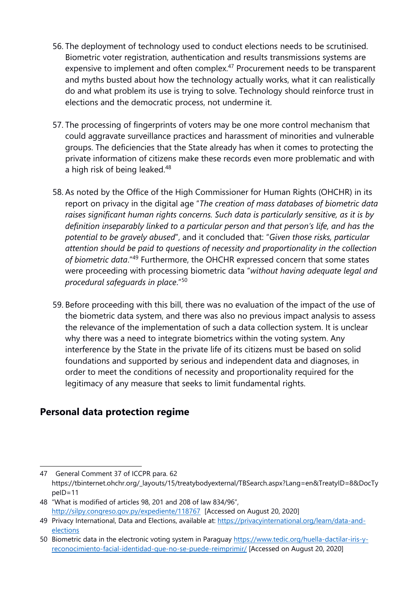- 56. The deployment of technology used to conduct elections needs to be scrutinised. Biometric voter registration, authentication and results transmissions systems are expensive to implement and often complex.<sup>47</sup> Procurement needs to be transparent and myths busted about how the technology actually works, what it can realistically do and what problem its use is trying to solve. Technology should reinforce trust in elections and the democratic process, not undermine it.
- 57. The processing of fingerprints of voters may be one more control mechanism that could aggravate surveillance practices and harassment of minorities and vulnerable groups. The deficiencies that the State already has when it comes to protecting the private information of citizens make these records even more problematic and with a high risk of being leaked.<sup>48</sup>
- 58. As noted by the Office of the High Commissioner for Human Rights (OHCHR) in its report on privacy in the digital age "*The creation of mass databases of biometric data raises significant human rights concerns. Such data is particularly sensitive, as it is by definition inseparably linked to <sup>a</sup> particular person and that person'<sup>s</sup> life, and has the potential to be gravely abused*", and it concluded that: "*Given those risks, particular attention should be paid to questions of necessity and proportionality in the collection of biometric data."<sup>49</sup> Furthermore, the OHCHR expressed concern that some states* were proceeding with processing biometric data "*without having adequate legal and procedural safeguards in place*." 50
- 59. Before proceeding with this bill, there was no evaluation of the impact of the use of the biometric data system, and there was also no previous impact analysis to assess the relevance of the implementation of such <sup>a</sup> data collection system. It is unclear why there was <sup>a</sup> need to integrate biometrics within the voting system. Any interference by the State in the private life of its citizens must be based on solid foundations and supported by serious and independent data and diagnoses, in order to meet the conditions of necessity and proportionality required for the legitimacy of any measure that seeks to limit fundamental rights.

# **Personal data protection regime**

<sup>47</sup> General Comment 37 of ICCPR para. 62 https://tbinternet.ohchr.org/\_layouts/15/treatybodyexternal/TBSearch.aspx?Lang=en&TreatyID=8&DocTy peID=11

<sup>48</sup> "What is modified of articles 98, 201 and 208 of law 834/96", <http://silpy.congreso.gov.py/expediente/118767> [Accessed on August 20, 2020]

<sup>49</sup> Privacy International, Data and Elections, available at: [https://privacyinternational.org/learn/data-and](https://privacyinternational.org/learn/data-and-elections)[elections](https://privacyinternational.org/learn/data-and-elections)

<sup>50</sup> Biometric data in the electronic voting system in Paraguay [https://www.tedic.org/huella-dactilar-iris-y](https://www.tedic.org/huella-dactilar-iris-y-reconocimiento-facial-identidad-que-no-se-puede-reimprimir/)[reconocimiento-facial-identidad-que-no-se-puede-reimprimir/](https://www.tedic.org/huella-dactilar-iris-y-reconocimiento-facial-identidad-que-no-se-puede-reimprimir/) [Accessed on August 20, 2020]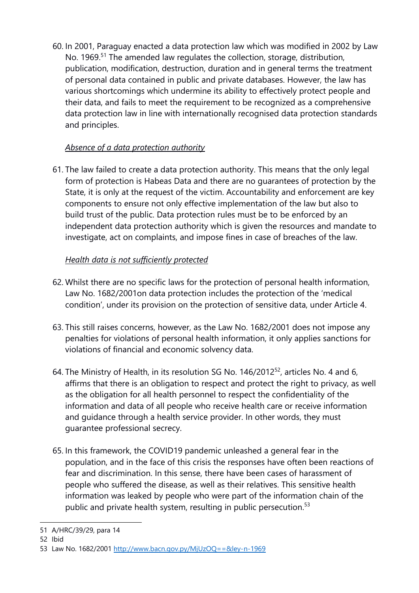60. In 2001, Paraguay enacted <sup>a</sup> data protection law which was modified in 2002 by Law No. 1969.<sup>51</sup> The amended law regulates the collection, storage, distribution, publication, modification, destruction, duration and in general terms the treatment of personal data contained in public and private databases. However, the law has various shortcomings which undermine its ability to effectively protect people and their data, and fails to meet the requirement to be recognized as <sup>a</sup> comprehensive data protection law in line with internationally recognised data protection standards and principles.

#### *Absence of <sup>a</sup> data protection authority*

61. The law failed to create <sup>a</sup> data protection authority. This means that the only legal form of protection is Habeas Data and there are no guarantees of protection by the State, it is only at the request of the victim. Accountability and enforcement are key components to ensure not only effective implementation of the law but also to build trust of the public. Data protection rules must be to be enforced by an independent data protection authority which is given the resources and mandate to investigate, act on complaints, and impose fines in case of breaches of the law.

#### *Health data is not sufficiently protected*

- 62. Whilst there are no specific laws for the protection of personal health information, Law No. 1682/2001on data protection includes the protection of the 'medical condition', under its provision on the protection of sensitive data, under Article 4.
- 63. This still raises concerns, however, as the Law No. 1682/2001 does not impose any penalties for violations of personal health information, it only applies sanctions for violations of financial and economic solvency data.
- 64. The Ministry of Health, in its resolution SG No. 146/2012 $^{\rm 52}$ , articles No. 4 and 6, affirms that there is an obligation to respect and protect the right to privacy, as well as the obligation for all health personnel to respect the confidentiality of the information and data of all people who receive health care or receive information and guidance through <sup>a</sup> health service provider. In other words, they must guarantee professional secrecy.
- 65. In this framework, the COVID19 pandemic unleashed <sup>a</sup> general fear in the population, and in the face of this crisis the responses have often been reactions of fear and discrimination. In this sense, there have been cases of harassment of people who suffered the disease, as well as their relatives. This sensitive health information was leaked by people who were part of the information chain of the public and private health system, resulting in public persecution.<sup>53</sup>

52 Ibid

<sup>51</sup> A/HRC/39/29, para 14

<sup>53</sup> Law No. 1682/2001 <http://www.bacn.gov.py/MjUzOQ==&ley-n-1969>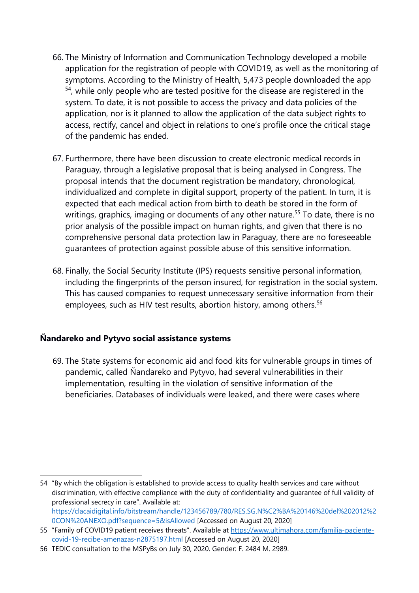- 66. The Ministry of Information and Communication Technology developed <sup>a</sup> mobile application for the registration of people with COVID19, as well as the monitoring of symptoms. According to the Ministry of Health, 5,473 people downloaded the app <sup>54</sup>, while only people who are tested positive for the disease are registered in the system. To date, it is not possible to access the privacy and data policies of the application, nor is it planned to allow the application of the data subject rights to access, rectify, cancel and object in relations to one'<sup>s</sup> profile once the critical stage of the pandemic has ended.
- 67. Furthermore, there have been discussion to create electronic medical records in Paraguay, through <sup>a</sup> legislative proposal that is being analysed in Congress. The proposal intends that the document registration be mandatory, chronological, individualized and complete in digital support, property of the patient. In turn, it is expected that each medical action from birth to death be stored in the form of writings, graphics, imaging or documents of any other nature.<sup>55</sup> To date, there is no prior analysis of the possible impact on human rights, and given that there is no comprehensive personal data protection law in Paraguay, there are no foreseeable guarantees of protection against possible abuse of this sensitive information.
- 68. Finally, the Social Security Institute (IPS) requests sensitive personal information, including the fingerprints of the person insured, for registration in the social system. This has caused companies to request unnecessary sensitive information from their employees, such as HIV test results, abortion history, among others.<sup>56</sup>

#### **Ñandareko and Pytyvo social assistance systems**

69. The State systems for economic aid and food kits for vulnerable groups in times of pandemic, called Ñandareko and Pytyvo, had several vulnerabilities in their implementation, resulting in the violation of sensitive information of the beneficiaries. Databases of individuals were leaked, and there were cases where

<sup>54</sup> "By which the obligation is established to provide access to quality health services and care without discrimination, with effective compliance with the duty of confidentiality and guarantee of full validity of professional secrecy in care". Available at: [https://clacaidigital.info/bitstream/handle/123456789/780/RES.SG.N%C2%BA%20146%20del%202012%2](https://clacaidigital.info/bitstream/handle/123456789/780/RES.SG.N%C2%BA%20146%20del%202012%20CON%20ANEXO.pdf?sequence=5&isAllowed) [0CON%20ANEXO.pdf?sequence=5&isAllowed](https://clacaidigital.info/bitstream/handle/123456789/780/RES.SG.N%C2%BA%20146%20del%202012%20CON%20ANEXO.pdf?sequence=5&isAllowed) [Accessed on August 20, 2020]

<sup>55</sup> "Family of COVID19 patient receives threats". Available at [https://www.ultimahora.com/familia-paciente](https://www.ultimahora.com/familia-paciente-covid-19-recibe-amenazas-n2875197.html)[covid-19-recibe-amenazas-n2875197.html](https://www.ultimahora.com/familia-paciente-covid-19-recibe-amenazas-n2875197.html) [Accessed on August 20, 2020]

<sup>56</sup> TEDIC consultation to the MSPyBs on July 30, 2020. Gender: F. 2484 M. 2989.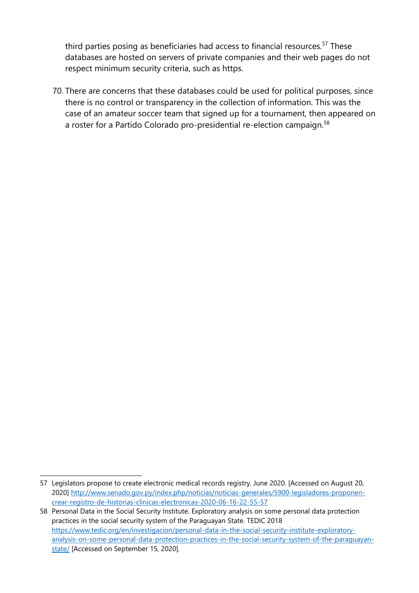third parties posing as beneficiaries had access to financial resources.<sup>57</sup> These databases are hosted on servers of private companies and their web pages do not respect minimum security criteria, such as https.

70. There are concerns that these databases could be used for political purposes, since there is no control or transparency in the collection of information. This was the case of an amateur soccer team that signed up for <sup>a</sup> tournament, then appeared on a roster for a Partido Colorado pro-presidential re-election campaign.<sup>58</sup>

<sup>57</sup> Legislators propose to create electronic medical records registry. June 2020. [Accessed on August 20, 2020] [http://www.senado.gov.py/index.php/noticias/noticias-generales/5900-legisladores-proponen](http://www.senado.gov.py/index.php/noticias/noticias-generales/5900-legisladores-proponen-crear-registro-de-historias-clinicas-electronicas-2020-06-16-22-55-57)crear-reg[istro-de-historias-clinicas-electronicas-2020-06-16-22-55-57](http://www.senado.gov.py/index.php/noticias/noticias-generales/5900-legisladores-proponen-crear-registro-de-historias-clinicas-electronicas-2020-06-16-22-55-57)

<sup>58</sup> Personal Data in the Social Security Institute. Exploratory analysis on some personal data protection practices in the social security system of the Paraguayan State. TEDIC 2018 [https://www.tedic.org/en/investigacion/personal-data-in-the-social-security-institute-exploratory](https://www.tedic.org/en/investigacion/personal-data-in-the-social-security-institute-exploratory-analysis-on-some-personal-data-protection-practices-in-the-social-security-system-of-the-paraguayan-state/)[analysis-on-some-personal-data-protection-practices-in-the-social-security-system-of-the-paraguayan](https://www.tedic.org/en/investigacion/personal-data-in-the-social-security-institute-exploratory-analysis-on-some-personal-data-protection-practices-in-the-social-security-system-of-the-paraguayan-state/)[state/](https://www.tedic.org/en/investigacion/personal-data-in-the-social-security-institute-exploratory-analysis-on-some-personal-data-protection-practices-in-the-social-security-system-of-the-paraguayan-state/) [Accessed on September 15, 2020].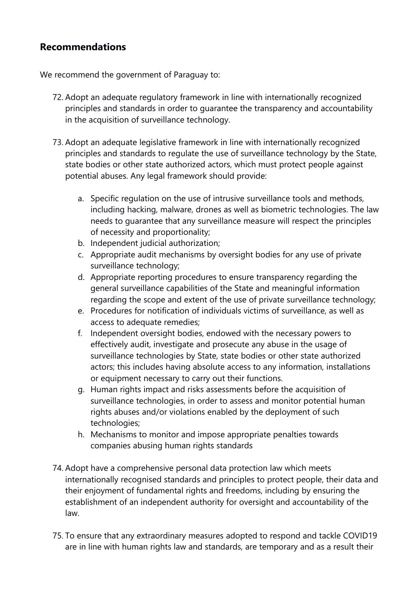### **Recommendations**

We recommend the governmen<sup>t</sup> of Paraguay to:

- 72. Adopt an adequate regulatory framework in line with internationally recognized principles and standards in order to guarantee the transparency and accountability in the acquisition of surveillance technology.
- 73. Adopt an adequate legislative framework in line with internationally recognized principles and standards to regulate the use of surveillance technology by the State, state bodies or other state authorized actors, which must protect people against potential abuses. Any legal framework should provide:
	- a. Specific regulation on the use of intrusive surveillance tools and methods, including hacking, malware, drones as well as biometric technologies. The law needs to guarantee that any surveillance measure will respect the principles of necessity and proportionality;
	- b. Independent judicial authorization;
	- c. Appropriate audit mechanisms by oversight bodies for any use of private surveillance technology;
	- d. Appropriate reporting procedures to ensure transparency regarding the general surveillance capabilities of the State and meaningful information regarding the scope and extent of the use of private surveillance technology;
	- e. Procedures for notification of individuals victims of surveillance, as well as access to adequate remedies;
	- f. Independent oversight bodies, endowed with the necessary powers to effectively audit, investigate and prosecute any abuse in the usage of surveillance technologies by State, state bodies or other state authorized actors; this includes having absolute access to any information, installations or equipment necessary to carry out their functions.
	- g. Human rights impact and risks assessments before the acquisition of surveillance technologies, in order to assess and monitor potential human rights abuses and/or violations enabled by the deployment of such technologies;
	- h. Mechanisms to monitor and impose appropriate penalties towards companies abusing human rights standards
- 74. Adopt have <sup>a</sup> comprehensive personal data protection law which meets internationally recognised standards and principles to protect people, their data and their enjoyment of fundamental rights and freedoms, including by ensuring the establishment of an independent authority for oversight and accountability of the law.
- 75. To ensure that any extraordinary measures adopted to respond and tackle COVID19 are in line with human rights law and standards, are temporary and as <sup>a</sup> result their